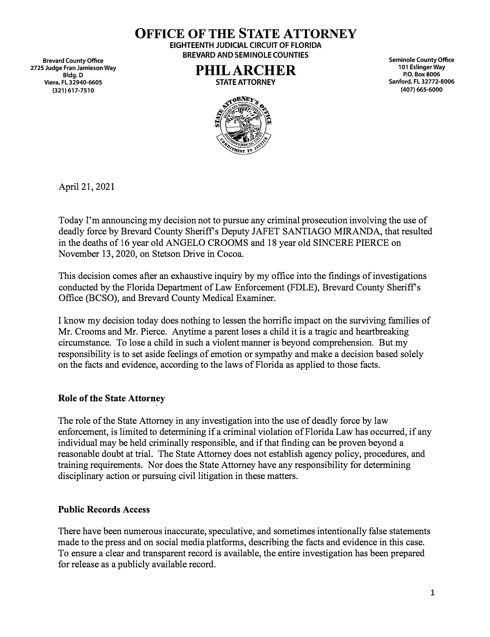**Brevard County Office 2725 Judge Fran Jamieson Way Bldg.D Viera, FL 32940-6605 (321) 617-7510**

**OFFICE OF THE STATE ATTORNEY EIGHTEENTH JUDICIAL CIRCUIT OF FLORIDA** 

**BREVARD AND SEMINOLE COUNTIES** 

**PHIL ARCHER STATE ATTORNEY** 

**Seminole County Office 101 Eslinger Way P.O. Box 8006 Sanford, FL 32772-8006 (407) 665-6000**



April 21, 2021

Today I'm announcing my decision not to pursue any criminal prosecution involving the use of deadly force by Brevard County Sheriff's Deputy JAFET SANTIAGO MIRANDA, that resulted in the deaths of 16 year-old ANGELO CROOMS and 18 year old SINCERE PIERCE on November 13, 2020, on Stetson Drive in Cocoa.

This decision comes after an exhaustive inquiry by my office into the findings of investigations conducted by the Florida Department of Law Enforcement (FDLE), Brevard County Sheriff's Office (BCSO), and Brevard County Medical Examiner.

I know my decision today does nothing to lessen the horrific impact on the surviving families of Mr. Crooms and Mr. Pierce. Anytime a parent loses a child it is a tragic and heartbreaking circumstance. To lose a child in such a violent manner is beyond comprehension. But my responsibility is to set aside feelings of emotion or sympathy and make a decision based solely on the facts and evidence, according to the laws of Florida as applied to those facts.

# **Role of the State Attorney**

The role of the State Attorney in any investigation into the use of deadly force by law enforcement, is limited to determining if a criminal violation of Florida Law has occurred, if any individual may be held criminally responsible, and if that finding can be proven beyond a reasonable doubt at trial. The State Attorney does not establish agency policy, procedures, and training requirements. Nor does the State Attorney have any responsibility for determining disciplinary action or pursuing civil litigation in these matters.

### **Public Records Access**

There have been numerous inaccurate, speculative, and sometimes intentionally false statements made to the press and on social media platforms, describing the facts and evidence in this case. To ensure a clear and transparent record is available, the entire investigation has been prepared for release as a publicly available record.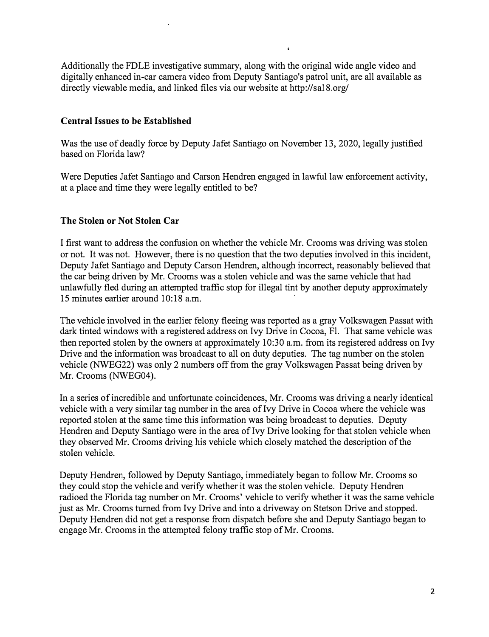Additionally the FDLE investigative summary, along with the original wide angle video and digitally enhanced in-car camera video from Deputy Santiago's patrol unit, are all available as directly viewable media, and linked files via our website at http://sal8.org/

### **Central Issues to be Established**

Was the use of deadly force by Deputy Jafet Santiago on November 13, 2020, legally justified based on Florida law?

Were Deputies Jafet Santiago and Carson Hendren engaged in lawful law enforcement activity, at a place and time they were legally entitled to be?

# **The Stolen or Not Stolen Car**

I first want to address the confusion on whether the vehicle Mr. Crooms was driving was stolen or not. It was not. However, there is no question that the two deputies involved in this incident, Deputy Jafet Santiago and Deputy Carson Hendren, although incorrect, reasonably believed that the car being driven by Mr. Crooms was a stolen vehicle and was the same vehicle that had unlawfully fled during an attempted traffic stop for illegal tint by another deputy approximately 15 minutes earlier around 10:18 a.m.

The vehicle involved in the earlier felony fleeing was reported as a gray Volkswagen Passat with dark tinted windows with a registered address on Ivy Drive in Cocoa, Fl. That same vehicle was then reported stolen by the owners at approximately 10:30 a.m. from its registered address on Ivy Drive and the information was broadcast to all on duty deputies. The tag number on the stolen vehicle (NWEG22) was only 2 numbers off from the gray Volkswagen Passat being driven by Mr. Crooms (NWEG04).

In a series of incredible and unfortunate coincidences, Mr. Crooms was driving a nearly identical vehicle with a very similar tag number in the area of Ivy Drive in Cocoa where the vehicle was reported stolen at the same time this information was being broadcast to deputies. Deputy Hendren and Deputy Santiago were in the area of Ivy Drive looking for that stolen vehicle when they observed Mr. Crooms driving his vehicle which closely matched the description of the stolen vehicle.

Deputy Hendren, followed by Deputy Santiago, immediately began to follow Mr. Crooms so they could stop the vehicle and verify whether it was the stolen vehicle. Deputy Hendren radioed the Florida tag number on Mr. Crooms' vehicle to verify whether it was the same vehicle just as Mr. Crooms turned from Ivy Drive and into a driveway on Stetson Drive and stopped. Deputy Hendren did not get a response from dispatch before she and Deputy Santiago began to engage Mr. Crooms in the attempted felony traffic stop of Mr. Crooms.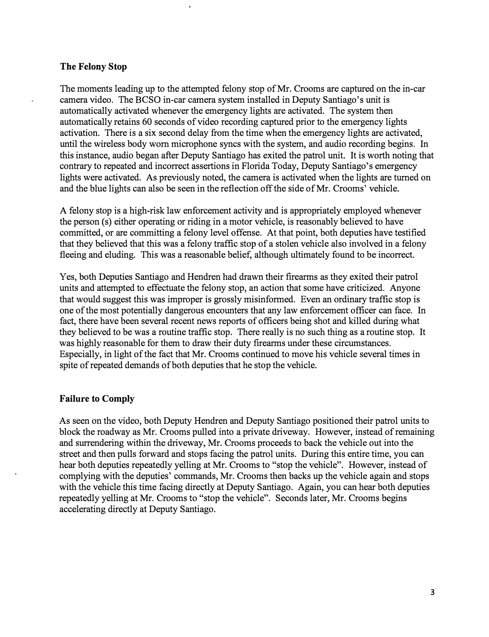### **The Felony Stop**

The moments leading up to the attempted felony stop of Mr. Crooms are captured on the in-car camera video. The BCSO in-car camera system installed in Deputy Santiago's unit is automatically activated whenever the emergency lights are activated. The system then automatically retains 60 seconds of video recording captured prior to the emergency lights activation. There is a six second delay from the time when the emergency lights are activated, until the wireless body worn microphone syncs with the system, and audio recording begins. In this instance, audio began after Deputy Santiago has exited the patrol unit. It is worth noting that contrary to repeated and incorrect assertions in Florida Today, Deputy Santiago's emergency lights were activated. As previously noted, the camera is activated when the lights are turned on and the blue lights can also be seen in the reflection off the side of Mr. Crooms' vehicle.

A felony stop is a high-risk law enforcement activity and is appropriately employed whenever the person (s) either operating or riding in a motor vehicle, is reasonably believed to have committed, or are committing a felony level offense. At that point, both deputies have testified that they believed that this was a felony traffic stop of a stolen vehicle also involved in a felony fleeing and eluding. This was a reasonable belief, although ultimately found to be incorrect.

Yes, both Deputies Santiago and Hendren had drawn their firearms as they exited their patrol units and attempted to effectuate the felony stop, an action that some have criticized. Anyone that would suggest this was improper is grossly misinformed. Even an ordinary traffic stop is one of the most potentially dangerous encounters that any law enforcement officer can face. In fact, there have been several recent news reports of officers being shot and killed during what they believed to be was a routine traffic stop. There really is no such thing as a routine stop. It was highly reasonable for them to draw their duty firearms under these circumstances. Especially, in light of the fact that Mr. Crooms continued to move his vehicle several times in spite of repeated demands of both deputies that he stop the vehicle.

# **Failure to Comply**

As seen on the video, both Deputy Hendren and Deputy Santiago positioned their patrol units to block the roadway as Mr. Crooms pulled into a private driveway. However, instead of remaining and surrendering within the driveway, Mr. Crooms proceeds to back the vehicle out into the street and then pulls forward and stops facing the patrol units. During this entire time, you can hear both deputies repeatedly yelling at Mr. Crooms to "stop the vehicle". However, instead of complying with the deputies' commands, Mr. Crooms then backs up the vehicle again and stops with the vehicle this time facing directly at Deputy Santiago. Again, you can hear both deputies repeatedly yelling at Mr. Crooms to "stop the vehicle". Seconds later, Mr. Crooms begins accelerating directly at Deputy Santiago.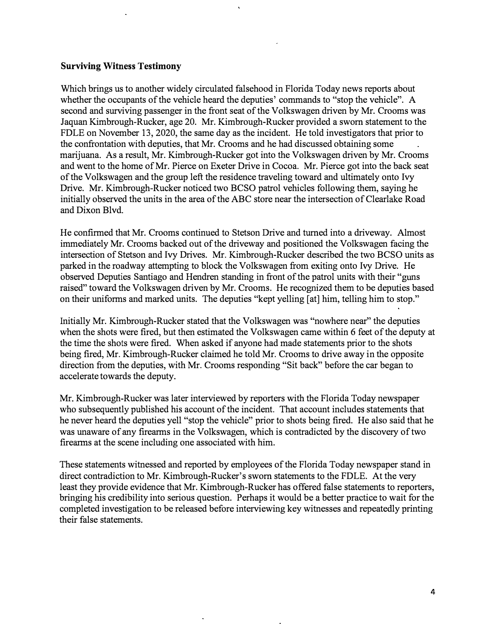### **Surviving Witness Testimony**

Which brings us to another widely circulated falsehood in Florida Today news reports about whether the occupants of the vehicle heard the deputies' commands to "stop the vehicle". A second and surviving passenger in the front seat of the Volkswagen driven by Mr. Crooms was Jaquan Kimbrough-Rucker, age 20. Mr. Kimbrough-Rucker provided a sworn statement to the FDLE on November 13, 2020, the same day as the incident. He told investigators that prior to the confrontation with deputies, that Mr. Crooms and he had discussed obtaining some marijuana. As a result, Mr. Kimbrough-Rucker got into the Volkswagen driven by Mr. Crooms and went to the home of Mr. Pierce on Exeter Drive in Cocoa. Mr. Pierce got into the back seat of the Volkswagen and the group left the residence traveling toward and ultimately onto Ivy Drive. Mr. Kimbrough-Rucker noticed two BCSO patrol vehicles following them, saying he initially observed the units in the area of the ABC store near the intersection of Clearlake Road and Dixon Blvd.

He confirmed that Mr. Crooms continued to Stetson Drive and turned into a driveway. Almost immediately Mr. Crooms backed out of the driveway and positioned the Volkswagen facing the intersection of Stetson and Ivy Drives. Mr. Kimbrough-Rucker described the two BCSO units as parked in the roadway attempting to block the Volkswagen from exiting onto Ivy Drive. He observed Deputies Santiago and Hendren standing in front of the patrol units with their "guns raised" toward the Volkswagen driven by Mr. Crooms. He recognized them to be deputies based on their uniforms and marked units. The deputies "kept yelling [at] him, telling him to stop."

Initially Mr. Kimbrough-Rucker stated that the Volkswagen was "nowhere near" the deputies when the shots were fired, but then estimated the Volkswagen came within 6 feet of the deputy at the time the shots were fired. When asked if anyone had made statements prior to the shots being fired, Mr. Kimbrough-Rucker claimed he told Mr. Crooms to drive away in the opposite direction from the deputies, with Mr. Crooms responding "Sit back" before the car began to accelerate towards the deputy.

Mr. Kimbrough-Rucker was later interviewed by reporters with the Florida Today newspaper who subsequently published his account of the incident. That account includes statements that he never heard the deputies yell "stop the vehicle" prior to shots being fired. He also said that he was unaware of any firearms in the Volkswagen, which is contradicted by the discovery of two firearms at the scene including one associated with him.

These statements witnessed and reported by employees of the Florida Today newspaper stand in direct contradiction to Mr. Kimbrough-Rucker's sworn statements to the FDLE. At the very least they provide evidence that Mr. Kimbrough-Rucker has offered false statements to reporters, bringing his credibility into serious question. Perhaps it would be a better practice to wait for the completed investigation to be released before interviewing key witnesses and repeatedly printing their false statements.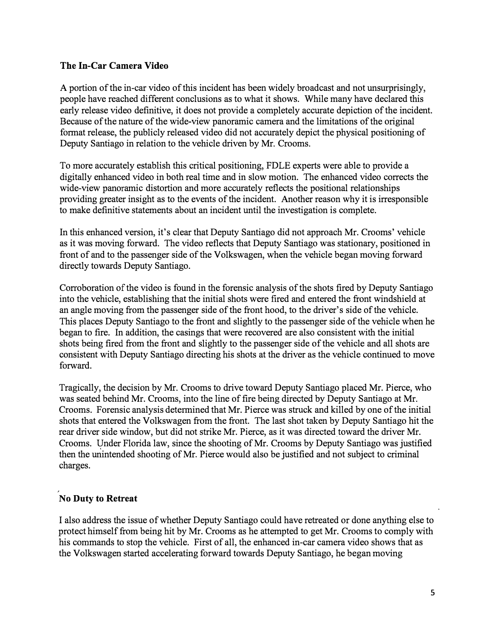# **The In-Car Camera Video**

A portion of the in-car video of this incident has been widely broadcast and not unsurprisingly, people have reached different conclusions as to what it shows. While many have declared this early release video definitive, it does not provide a completely accurate depiction of the incident. Because of the nature of the wide-view panoramic camera and the limitations of the original format release, the publicly released video did not accurately depict the physical positioning of Deputy Santiago in relation to the vehicle driven by Mr. Crooms.

To more accurately establish this critical positioning, FDLE experts were able to provide a digitally enhanced video in both real time and in slow motion. The enhanced video corrects the wide-view panoramic distortion and more accurately reflects the positional relationships providing greater insight as to the events of the incident. Another reason why it is irresponsible to make definitive statements about an incident until the investigation is complete.

In this enhanced version, it's clear that Deputy Santiago did not approach Mr. Crooms' vehicle as it was moving forward. The video reflects that Deputy Santiago was stationary, positioned in front of and to the passenger side of the Volkswagen, when the vehicle began moving forward directly towards Deputy Santiago.

Corroboration of the video is found in the forensic analysis of the shots fired by Deputy Santiago into the vehicle, establishing that the initial shots were fired and entered the front windshield at an angle moving from the passenger side of the front hood, to the driver's side of the vehicle. This places Deputy Santiago to the front and slightly to the passenger side of the vehicle when he began to fire. In addition, the casings that were recovered are also consistent with the initial shots being fired from the front and slightly to the passenger side of the vehicle and all shots are consistent with Deputy Santiago directing his shots at the driver as the vehicle continued to move forward.

Tragically, the decision by Mr. Crooms to drive toward Deputy Santiago placed Mr. Pierce, who was seated behind Mr. Crooms, into the line of fire being directed by Deputy Santiago at Mr. Crooms. Forensic analysis determined that Mr. Pierce was struck and killed by one of the initial shots that entered the Volkswagen from the front. The last shot taken by Deputy Santiago hit the rear driver side window, but did not strike Mr. Pierce, as it was directed toward the driver Mr. Crooms. Under Florida law, since the shooting of Mr. Crooms by Deputy Santiago was justified then the unintended shooting of Mr. Pierce would also be justified and not subject to criminal charges.

# **No Duty to Retreat**

I also address the issue of whether Deputy Santiago could have retreated or done anything else to protect himself from being hit by Mr. Crooms as he attempted to get Mr. Crooms to comply with his commands to stop the vehicle. First of all, the enhanced in-car camera video shows that as the Volkswagen started accelerating forward towards Deputy Santiago, he began moving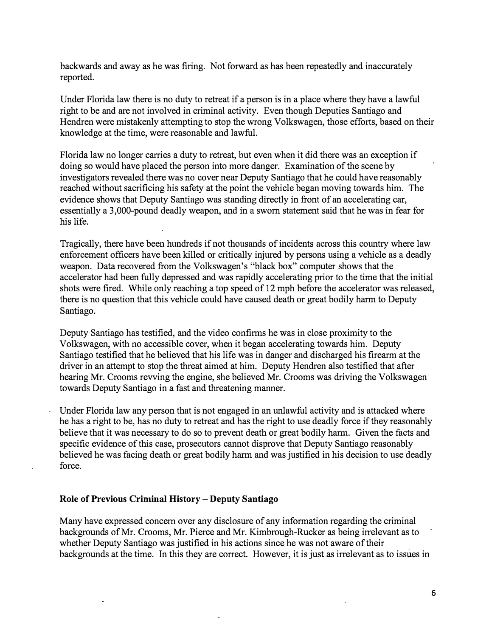backwards and away as he was firing. Not forward as has been repeatedly and inaccurately reported.

Under Florida law there is no duty to retreat if a person is in a place where they have a lawful right to be and are not involved in criminal activity. Even though Deputies Santiago and Hendren were mistakenly attempting to stop the wrong Volkswagen, those efforts, based on their knowledge at the time, were reasonable and lawful.

Florida law no longer carries a duty to retreat, but even when it did there was an exception if doing so would have placed the person into more danger. Examination of the scene by investigators revealed there was no cover near Deputy Santiago that he could have reasonably reached without sacrificing his safety at the point the vehicle began moving towards him. The evidence shows that Deputy Santiago was standing directly in front of an accelerating car, essentially a 3,000-pound deadly weapon, and in a sworn statement said that he was in fear for his life.

Tragically, there have been hundreds if not thousands of incidents across this country where law enforcement officers have been killed or critically injured by persons using a vehicle as a deadly weapon. Data recovered from the Volkswagen's "black box" computer shows that the accelerator had been fully depressed and was rapidly accelerating prior to the time that the initial shots were fired. While only reaching a top speed of 12 mph before the accelerator was released, there is no question that this vehicle could have caused death or great bodily harm to Deputy Santiago.

Deputy Santiago has testified, and the video confirms he was in close proximity to the Volkswagen, with no accessible cover, when it began accelerating towards him. Deputy Santiago testified that he believed that his life was in danger and discharged his firearm at the driver in an attempt to stop the threat aimed at him. Deputy Hendren also testified that after hearing Mr. Crooms revving the engine, she believed Mr. Crooms was driving the Volkswagen towards Deputy Santiago in a fast and threatening manner.

Under Florida law any person that is not engaged in an unlawful activity and is attacked where he has a right to be, has no duty to retreat and has the right to use deadly force if they reasonably believe that it was necessary to do so to prevent death or great bodily harm. Given the facts and specific evidence of this case, prosecutors cannot disprove that Deputy Santiago reasonably believed he was facing death or great bodily harm and was justified in his decision to use deadly force.

### **Role of Previous Criminal History - Deputy Santiago**

Many have expressed concern over any disclosure of any information regarding the criminal backgrounds of Mr. Crooms, Mr. Pierce and Mr. Kimbrough-Rucker as being irrelevant as to whether Deputy Santiago was justified in his actions since he was not aware of their backgrounds at the time. In this they are correct. However, it is just as irrelevant as to issues in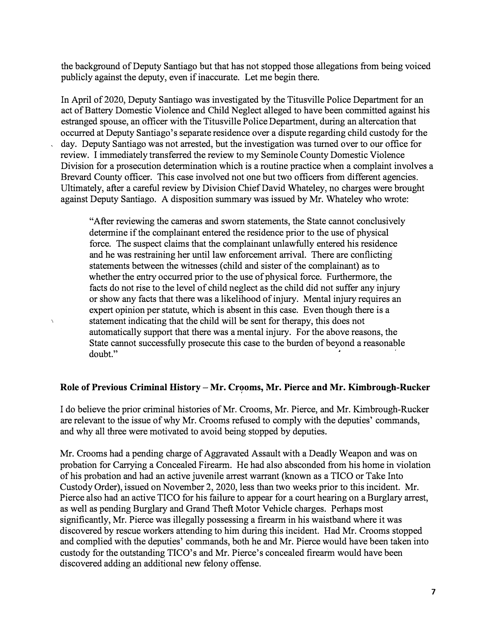the background of Deputy Santiago but that has not stopped those allegations from being voiced publicly against the deputy, even if inaccurate. Let me begin there.

In April of 2020, Deputy Santiago was investigated by the Titusville Police Department for an act of Battery Domestic Violence and Child Neglect alleged to have been committed against his estranged spouse, an officer with the Titusville Police Department, during an altercation that occurred at Deputy Santiago's separate residence over a dispute regarding child custody for the day. Deputy Santiago was not arrested, but the investigation was turned over to our office for review. I immediately transferred the review to my Seminole County Domestic Violence Division for a prosecution determination which is a routine practice when a complaint involves a Brevard County officer. This case involved not one but two officers from different agencies. Ultimately, after a careful review by Division Chief David Whateley, no charges were brought against Deputy Santiago. A disposition summary was issued by Mr. Whateley who wrote:

"After reviewing the cameras and sworn statements, the State cannot conclusively determine if the complainant entered the residence prior to the use of physical force. The suspect claims that the complainant unlawfully entered his residence and he was restraining her until law enforcement arrival. There are conflicting statements between the witnesses (child and sister of the complainant) as to whether the entry occurred prior to the use of physical force. Furthermore, the facts do not rise to the level of child neglect as the child did not suffer any injury or show any facts that there was a likelihood of injury. Mental injury requires an expert opinion per statute, which is absent in this case. Even though there is a statement indicating that the child will be sent for therapy, this does not automatically support that there was a mental injury. For the above reasons, the State cannot successfully prosecute this case to the burden of beyond a reasonable doubt."

 $\overline{ }$ 

### **Role of Previous Criminal History-Mr. Crooms, Mr. Pierce and Mr. Kimbrough-Rucker**

I do believe the prior criminal histories of Mr. Crooms, Mr. Pierce, and Mr. Kimbrough-Rucker are relevant to the issue of why Mr. Crooms refused to comply with the deputies' commands, and why all three were motivated to avoid being stopped by deputies.

Mr. Crooms had a pending charge of Aggravated Assault with a Deadly Weapon and was on probation for Carrying a Concealed Firearm. He had also absconded from his home in violation of his probation and had an active juvenile arrest warrant (known as a TICO or Take Into Custody Order), issued on November 2, 2020, less than two weeks prior to this incident. Mr. Pierce also had an active TICO for his failure to appear for a court hearing on a Burglary arrest, as well as pending Burglary and Grand Theft Motor Vehicle charges. Perhaps most significantly, Mr. Pierce was illegally possessing a firearm in his waistband where it was discovered by rescue workers attending to him during this incident. Had Mr. Crooms stopped and complied with the deputies' commands, both he and Mr. Pierce would have been taken into custody for the outstanding TICO's and Mr. Pierce's concealed firearm would have been discovered adding an additional new felony offense.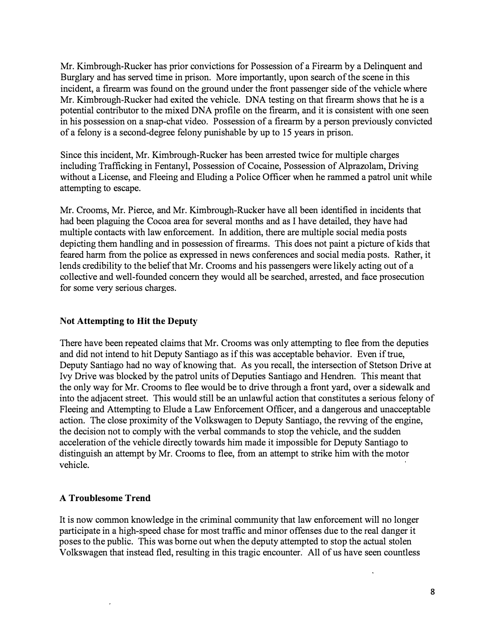Mr. Kimbrough-Rucker has prior convictions for Possession of a Firearm by a Delinquent and Burglary and has served time in prison. More importantly, upon search of the scene in this incident, a firearm was found on the ground under the front passenger side of the vehicle where Mr. Kimbrough-Rucker had exited the vehicle. DNA testing on that firearm shows that he is a potential contributor to the mixed DNA profile on the firearm, and it is consistent with one seen in his possession on a snap-chat video. Possession of a firearm by a person previously convicted of a felony is a second-degree felony punishable by up to 15 years in prison.

Since this incident, Mr. Kimbrough-Rucker has been arrested twice for multiple charges including Trafficking in Fentanyl, Possession of Cocaine, Possession of Alprazolam, Driving without a License, and Fleeing and Eluding a Police Officer when he rammed a patrol unit while attempting to escape.

Mr. Crooms, Mr. Pierce, and Mr. Kimbrough-Rucker have all been identified in incidents that had been plaguing the Cocoa area for several months and as I have detailed, they have had multiple contacts with law enforcement. In addition, there are multiple social media posts depicting them handling and in possession of firearms. This does not paint a picture of kids that feared harm from the police as expressed in news conferences and social media posts. Rather, it lends credibility to the belief that Mr. Crooms and his passengers were likely acting out of a collective and well-founded concern they would all be searched, arrested, and face prosecution for some very serious charges.

# **Not Attempting to Hit the Deputy**

There have been repeated claims that Mr. Crooms was only attempting to flee from the deputies and did not intend to hit Deputy Santiago as if this was acceptable behavior. Even if true, Deputy Santiago had no way of knowing that. As you recall, the intersection of Stetson Drive at Ivy Drive was blocked by the patrol units of Deputies Santiago and Hendren. This meant that the only way for Mr. Crooms to flee would be to drive through a front yard, over a sidewalk and into the adjacent street. This would still be an unlawful action that constitutes a serious felony of Fleeing and Attempting to Elude a Law Enforcement Officer, and a dangerous and unacceptable action. The close proximity of the Volkswagen to Deputy Santiago, the revving of the engine, the decision not to comply with the verbal commands to stop the vehicle, and the sudden acceleration of the vehicle directly towards him made it impossible for Deputy Santiago to distinguish an attempt by Mr. Crooms to flee, from an attempt to strike him with the motor vehicle.

# **A Troublesome Trend**

It is now common knowledge in the criminal community that law enforcement will no longer participate in a high-speed chase for most traffic and minor offenses due to the real danger it poses to the public. This was borne out when the deputy attempted to stop the actual stolen Volkswagen that instead fled, resulting in this tragic encounter. All of us have seen countless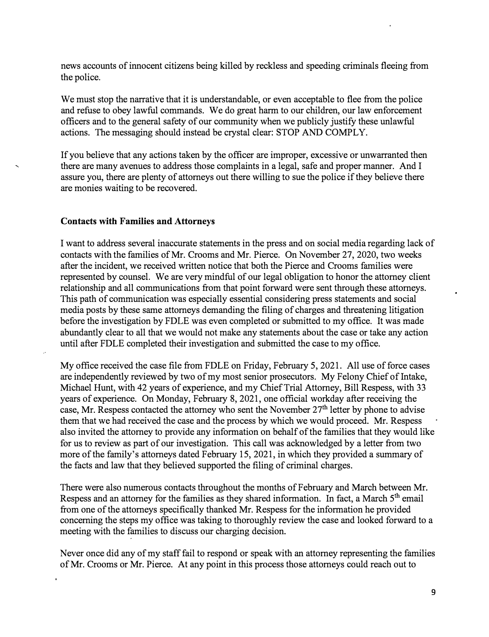news accounts of innocent citizens being killed by reckless and speeding criminals fleeing from the police.

We must stop the narrative that it is understandable, or even acceptable to flee from the police and refuse to obey lawful commands. We do great harm to our children, our law enforcement officers and to the general safety of our community when we publicly justify these unlawful actions. The messaging should instead be crystal clear: STOP AND COMPLY.

If you believe that any actions taken by the officer are improper, excessive or unwarranted then there are many avenues to address those complaints in a legal, safe and proper manner. And I assure you, there are plenty of attorneys out there willing to sue the police if they believe there are monies waiting to be recovered.

#### **Contacts with Families and Attorneys**

I want to address several inaccurate statements in the press and on social media regarding lack of contacts with the families of Mr. Crooms and Mr. Pierce. On November 27, 2020, two weeks after the incident, we received written notice that both the Pierce and Crooms families were represented by counsel. We are very mindful of our legal obligation to honor the attorney client relationship and all communications from that point forward were sent through these attorneys. This path of communication was especially essential considering press statements and social media posts by these same attorneys demanding the filing of charges and threatening litigation before the investigation by FDLE was even completed or submitted to my office. It was made abundantly clear to all that we would not make any statements about the case or take any action until after FDLE completed their investigation and submitted the case to my office.

My office received the case file from FDLE on Friday, February 5, 2021. All use of force cases are independently reviewed by two of my most senior prosecutors. My Felony Chief of Intake, Michael Hunt, with 42 years of experience, and my Chief Trial Attorney, Bill Respess, with 33 years of experience. On Monday, February 8, 2021, one official workday after receiving the case, Mr. Respess contacted the attorney who sent the November  $27<sup>th</sup>$  letter by phone to advise them that we had received the case and the process by which we would proceed. Mr. Respess also invited the attorney to provide any information on behalf of the families that they would like for us to review as part of our investigation. This call was acknowledged by a letter from two more of the family's attorneys dated February 15, 2021, in which they provided a summary of the facts and law that they believed supported the filing of criminal charges.

There were also numerous contacts throughout the months of February and March between Mr. Respess and an attorney for the families as they shared information. In fact, a March 5<sup>th</sup> email from one of the attorneys specifically thanked Mr. Respess for the information he provided concerning the steps my office was taking to thoroughly review the case and looked forward to a meeting with the families to discuss our charging decision.

Never once did any of my staff fail to respond or speak with an attorney representing the families of Mr. Crooms or Mr. Pierce. At any point in this process those attorneys could reach out to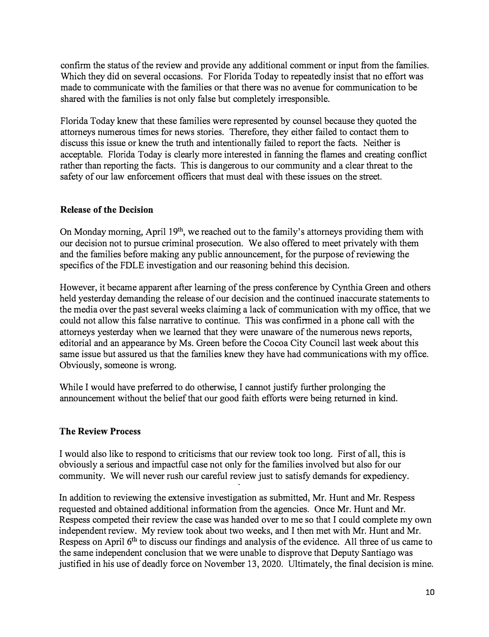confirm the status of the review and provide any additional comment or input from the families. Which they did on several occasions. For Florida Today to repeatedly insist that no effort was made to communicate with the families or that there was no avenue for communication to be shared with the families is not only false but completely irresponsible.

Florida Today knew that these families were represented by counsel because they quoted the attorneys numerous times for news stories. Therefore, they either failed to contact them to discuss this issue or knew the truth and intentionally failed to report the facts. Neither is acceptable. Florida Today is clearly more interested in fanning the flames and creating conflict rather than reporting the facts. This is dangerous to our community and a clear threat to the safety of our law enforcement officers that must deal with these issues on the street.

#### **Release of the Decision**

On Monday morning, April 19<sup>th</sup>, we reached out to the family's attorneys providing them with our decision not to pursue criminal prosecution. We also offered to meet privately with them and the families before making any public announcement, for the purpose of reviewing the specifics of the FDLE investigation and our reasoning behind this decision.

However, it became apparent after learning of the press conference by Cynthia Green and others held yesterday demanding the release of our decision and the continued inaccurate statements to the media over the past several weeks claiming a lack of communication with my office, that we could not allow this false narrative to continue. This was confirmed in a phone call with the attorneys yesterday when we learned that they were unaware of the numerous news reports, editorial and an appearance by Ms. Green before the Cocoa City Council last week about this same issue but assured us that the families knew they have had communications with my office. Obviously, someone is wrong.

While I would have preferred to do otherwise, I cannot justify further prolonging the announcement without the belief that our good faith efforts were being returned in kind.

### **The Review Process**

I would also like to respond to criticisms that our review took too long. First of all, this is obviously a serious and impactful case not only for the families involved but also for our community. We will never rush our careful review just to satisfy demands for expediency.

In addition to reviewing the extensive investigation as submitted, Mr. Hunt and Mr. Respess requested and obtained additional information from the agencies. Once Mr. Hunt and Mr. Respess competed their review the case was handed over to me so that I could complete my own independent review. My review took about two weeks, and I then met with Mr. Hunt and Mr. Respess on April 6<sup>th</sup> to discuss our findings and analysis of the evidence. All three of us came to the same independent conclusion that we were unable to disprove that Deputy Santiago was justified in his use of deadly force on November 13, 2020. Ultimately, the final decision is mine.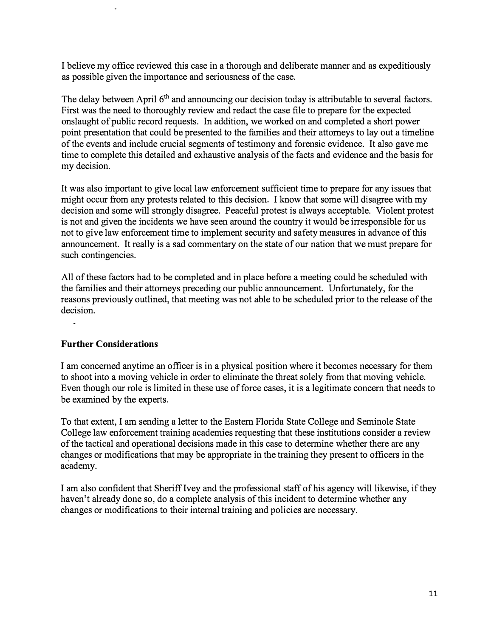I believe my office reviewed this case in a thorough and deliberate manner and as expeditiously as possible given the importance and seriousness of the case.

The delay between April 6<sup>th</sup> and announcing our decision today is attributable to several factors. First was the need to thoroughly review and redact the case file to prepare for the expected onslaught of public record requests. In addition, we worked on and completed a short power point presentation that could be presented to the families and their attorneys to lay out a timeline of the events and include crucial segments of testimony and forensic evidence. It also gave me time to complete this detailed and exhaustive analysis of the facts and evidence and the basis for my decision.

It was also important to give local law enforcement sufficient time to prepare for any issues that might occur from any protests related to this decision. I know that some will disagree with my decision and some will strongly disagree. Peaceful protest is always acceptable. Violent protest is not and given the incidents we have seen around the country it would be irresponsible for us not to give law enforcement time to implement security and safety measures in advance of this announcement. It really is a sad commentary on the state of our nation that we must prepare for such contingencies.

All of these factors had to be completed and in place before a meeting could be scheduled with the families and their attorneys preceding our public announcement. Unfortunately, for the reasons previously outlined, that meeting was not able to be scheduled prior to the release of the decision.

# **Further Considerations**

I am concerned anytime an officer is in a physical position where it becomes necessary for them to shoot into a moving vehicle in order to eliminate the threat solely from that moving vehicle. Even though our role is limited in these use of force cases, it is a legitimate concern that needs to be examined by the experts.

To that extent, I am sending a letter to the Eastern Florida State College and Seminole State College law enforcement training academies requesting that these institutions consider a review of the tactical and operational decisions made in this case to determine whether there are any changes or modifications that may be appropriate in the training they present to officers in the academy.

I am also confident that Sheriff Ivey and the professional staff of his agency will likewise, if they haven't already done so, do a complete analysis of this incident to determine whether any changes or modifications to their internal training and policies are necessary.